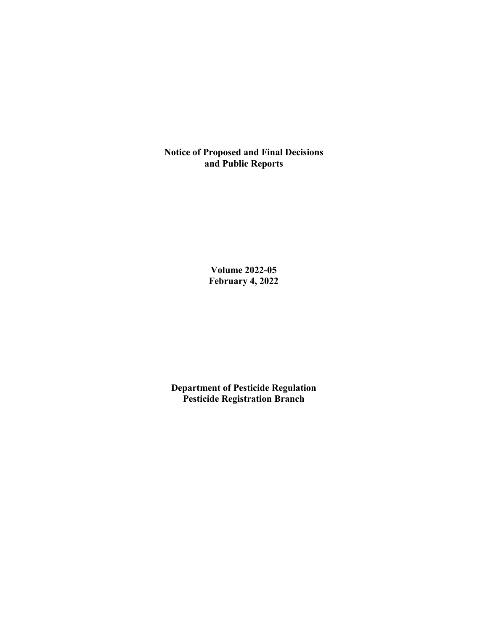**Notice of Proposed and Final Decisions and Public Reports**

> **Volume 2022-05 February 4, 2022**

**Department of Pesticide Regulation Pesticide Registration Branch**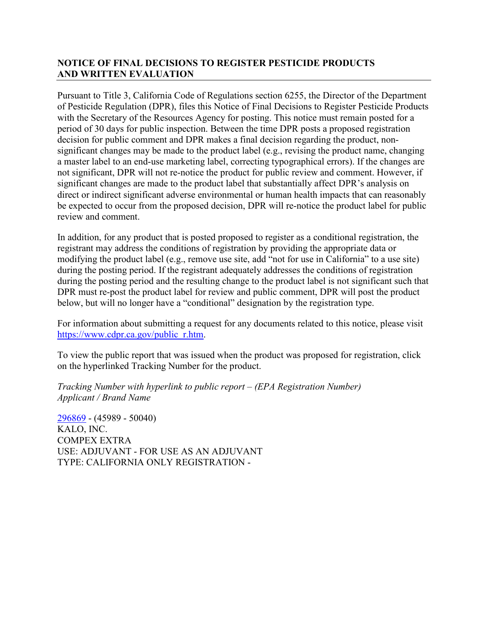## **NOTICE OF FINAL DECISIONS TO REGISTER PESTICIDE PRODUCTS AND WRITTEN EVALUATION**

Pursuant to Title 3, California Code of Regulations section 6255, the Director of the Department of Pesticide Regulation (DPR), files this Notice of Final Decisions to Register Pesticide Products with the Secretary of the Resources Agency for posting. This notice must remain posted for a period of 30 days for public inspection. Between the time DPR posts a proposed registration decision for public comment and DPR makes a final decision regarding the product, nonsignificant changes may be made to the product label (e.g., revising the product name, changing a master label to an end-use marketing label, correcting typographical errors). If the changes are not significant, DPR will not re-notice the product for public review and comment. However, if significant changes are made to the product label that substantially affect DPR's analysis on direct or indirect significant adverse environmental or human health impacts that can reasonably be expected to occur from the proposed decision, DPR will re-notice the product label for public review and comment.

In addition, for any product that is posted proposed to register as a conditional registration, the registrant may address the conditions of registration by providing the appropriate data or modifying the product label (e.g., remove use site, add "not for use in California" to a use site) during the posting period. If the registrant adequately addresses the conditions of registration during the posting period and the resulting change to the product label is not significant such that DPR must re-post the product label for review and public comment, DPR will post the product below, but will no longer have a "conditional" designation by the registration type.

For information about submitting a request for any documents related to this notice, please visit [https://www.cdpr.ca.gov/public\\_r.htm.](https://www.cdpr.ca.gov/public_r.htm)

To view the public report that was issued when the product was proposed for registration, click on the hyperlinked Tracking Number for the product.

*Tracking Number with hyperlink to public report – (EPA Registration Number) Applicant / Brand Name*

[296869](https://www.cdpr.ca.gov/docs/registration/nod/public_reports/296869.pdf) - (45989 - 50040) KALO, INC. COMPEX EXTRA USE: ADJUVANT - FOR USE AS AN ADJUVANT TYPE: CALIFORNIA ONLY REGISTRATION -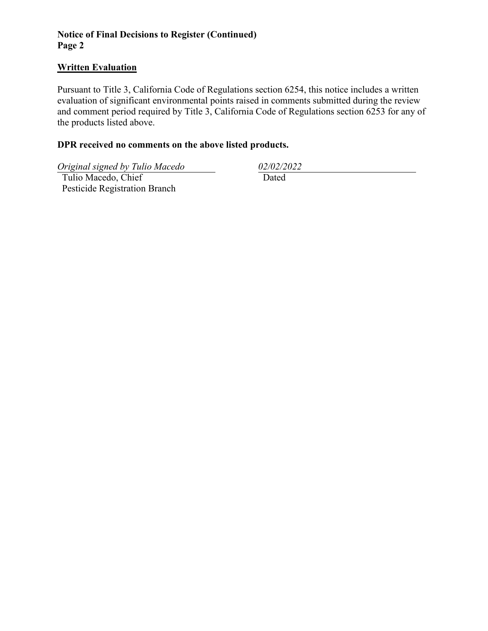## **Notice of Final Decisions to Register (Continued) Page 2**

#### **Written Evaluation**

Pursuant to Title 3, California Code of Regulations section 6254, this notice includes a written evaluation of significant environmental points raised in comments submitted during the review and comment period required by Title 3, California Code of Regulations section 6253 for any of the products listed above.

## **DPR received no comments on the above listed products.**

*Original signed by Tulio Macedo 02/02/2022*

 Tulio Macedo, Chief Pesticide Registration Branch

Dated